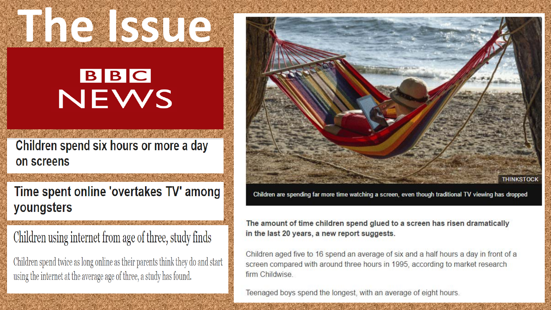#### BBC NEWS

Children spend six hours or more a day on screens

Time spent online 'overtakes TV' among youngsters

Children using internet from age of three, study finds

Children spend twice as long online as their parents think they do and start using the internet at the average age of three, a study has found.



Children are spending far more time watching a screen, even though traditional TV viewing has dropped

The amount of time children spend glued to a screen has risen dramatically in the last 20 years, a new report suggests.

Children aged five to 16 spend an average of six and a half hours a day in front of a screen compared with around three hours in 1995, according to market research firm Childwise.

Teenaged boys spend the longest, with an average of eight hours.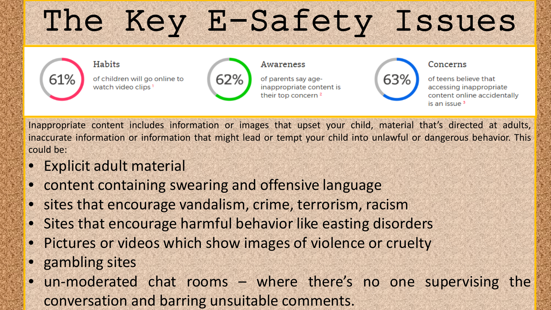# The Key E-Safety Issues



Inappropriate content includes information or images that upset your child, material that's directed at adults, inaccurate information or information that might lead or tempt your child into unlawful or dangerous behavior. This could be:

- **Explicit adult material**
- content containing swearing and offensive language
- sites that encourage vandalism, crime, terrorism, racism
- Sites that encourage harmful behavior like easting disorders
- Pictures or videos which show images of violence or cruelty
- gambling sites
- un-moderated chat rooms where there's no one supervising the conversation and barring unsuitable comments.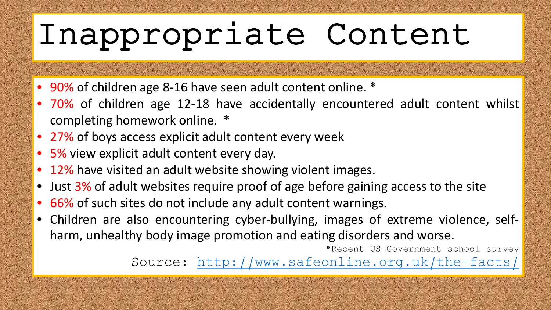# Inappropriate Content

- 90% of children age 8-16 have seen adult content online. \*
- 70% of children age 12-18 have accidentally encountered adult content whilst completing homework online. \*
- 27% of boys access explicit adult content every week
- 5% view explicit adult content every day.
- 12% have visited an adult website showing violent images.
- Just 3% of adult websites require proof of age before gaining access to the site

a na mara na mata a katika mata na mata na mata na mata

- 66% of such sites do not include any adult content warnings.
- Children are also encountering cyber-bullying, images of extreme violence, selfharm, unhealthy body image promotion and eating disorders and worse.

\*Recent US Government school survey Source:<http://www.safeonline.org.uk/the-facts/>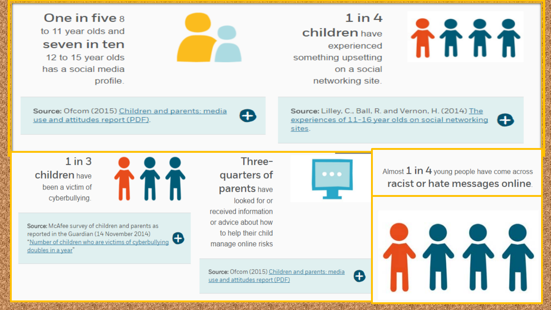One in five a to 11 year olds and seven in ten

12 to 15 year olds has a social media profile.

 $1$  in  $4$ **children** have experienced something upsetting on a social networking site.



Source: Ofcom (2015) Children and parents: media use and attitudes report (PDF).



Source: Lilley, C., Ball, R. and Vernon, H. (2014) The experiences of 11-16 year olds on social networking sites.



 $1$  in  $3$ children have been a victim of cyberbullying.



Source: McAfee survey of children and parents as reported in the Guardian (14 November 2014) 0 "Number of children who are victims of cyberbullying doubles in a year"

Threequarters of parents have looked for or received information or advice about how to help their child manage online risks

Source: Ofcom (2015) Children and parents: media use and attitudes report (PDF)



Almost 1 in 4 young people have come across racist or hate messages online.

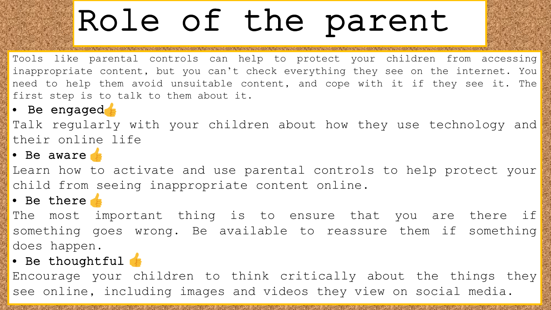# Role of the parent

Tools like parental controls can help to protect your children from accessing inappropriate content, but you can't check everything they see on the internet. You need to help them avoid unsuitable content, and cope with it if they see it. The first step is to talk to them about it.

• Be engaged

Talk regularly with your children about how they use technology and their online life

• Be aware

Learn how to activate and use parental controls to help protect your child from seeing inappropriate content online.

• Be there

The most important thing is to ensure that you are there if something goes wrong. Be available to reassure them if something does happen.

#### • Be thoughtful  $\epsilon$

Encourage your children to think critically about the things they see online, including images and videos they view on social media.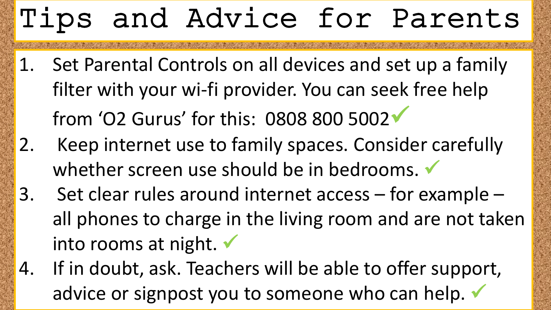### Tips and Advice for Parents

- 1. Set Parental Controls on all devices and set up a family filter with your wi-fi provider. You can seek free help from 'O2 Gurus' for this: 0808 800 5002 2. Keep internet use to family spaces. Consider carefully whether screen use should be in bedrooms.
- 3. Set clear rules around internet access for example all phones to charge in the living room and are not taken into rooms at night.
- 4. If in doubt, ask. Teachers will be able to offer support, advice or signpost you to someone who can help.